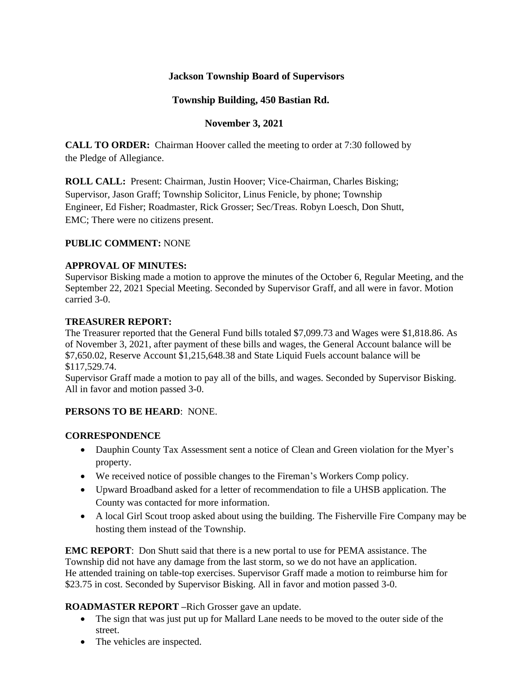## **Jackson Township Board of Supervisors**

## **Township Building, 450 Bastian Rd.**

## **November 3, 2021**

**CALL TO ORDER:** Chairman Hoover called the meeting to order at 7:30 followed by the Pledge of Allegiance.

**ROLL CALL:** Present: Chairman, Justin Hoover; Vice-Chairman, Charles Bisking; Supervisor, Jason Graff; Township Solicitor, Linus Fenicle, by phone; Township Engineer, Ed Fisher; Roadmaster, Rick Grosser; Sec/Treas. Robyn Loesch, Don Shutt, EMC; There were no citizens present.

### **PUBLIC COMMENT:** NONE

#### **APPROVAL OF MINUTES:**

Supervisor Bisking made a motion to approve the minutes of the October 6, Regular Meeting, and the September 22, 2021 Special Meeting. Seconded by Supervisor Graff, and all were in favor. Motion carried 3-0.

#### **TREASURER REPORT:**

The Treasurer reported that the General Fund bills totaled \$7,099.73 and Wages were \$1,818.86. As of November 3, 2021, after payment of these bills and wages, the General Account balance will be \$7,650.02, Reserve Account \$1,215,648.38 and State Liquid Fuels account balance will be \$117,529.74.

Supervisor Graff made a motion to pay all of the bills, and wages. Seconded by Supervisor Bisking. All in favor and motion passed 3-0.

#### **PERSONS TO BE HEARD**: NONE.

#### **CORRESPONDENCE**

- Dauphin County Tax Assessment sent a notice of Clean and Green violation for the Myer's property.
- We received notice of possible changes to the Fireman's Workers Comp policy.
- Upward Broadband asked for a letter of recommendation to file a UHSB application. The County was contacted for more information.
- A local Girl Scout troop asked about using the building. The Fisherville Fire Company may be hosting them instead of the Township.

**EMC REPORT**: Don Shutt said that there is a new portal to use for PEMA assistance. The Township did not have any damage from the last storm, so we do not have an application. He attended training on table-top exercises. Supervisor Graff made a motion to reimburse him for \$23.75 in cost. Seconded by Supervisor Bisking. All in favor and motion passed 3-0.

# **ROADMASTER REPORT –**Rich Grosser gave an update.

- The sign that was just put up for Mallard Lane needs to be moved to the outer side of the street.
- The vehicles are inspected.